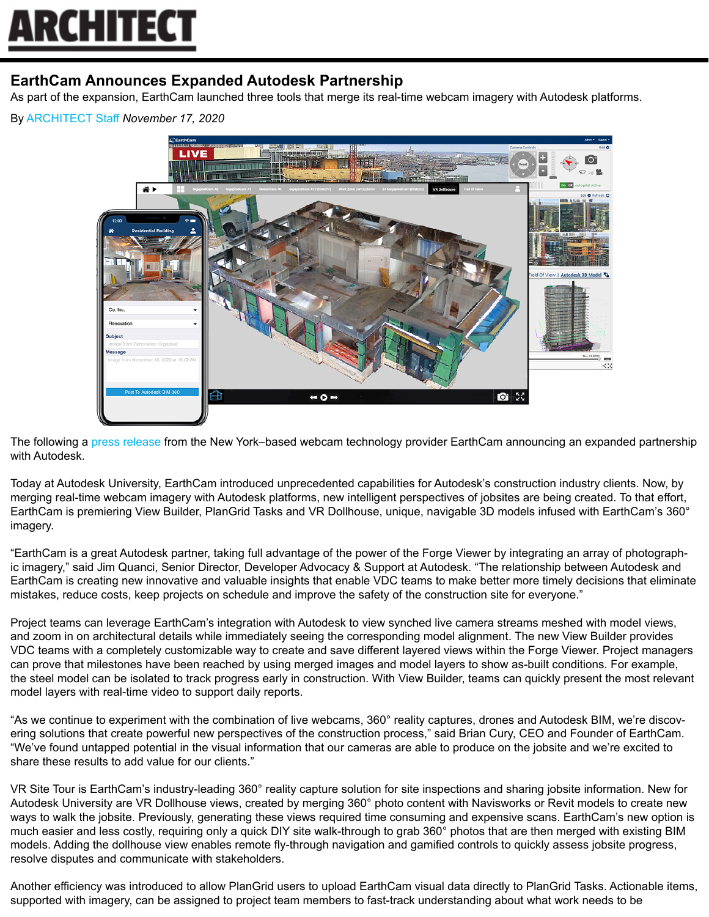## **ARCHITEC1**

## **EarthCam Announces Expanded Autodesk Partnership**

As part of the expansion, EarthCam launched three tools that merge its real-time webcam imagery with Autodesk platforms.

By [ARCHITECT Staff](https://www.architectmagazine.com/author/architect-staff) *November 17, 2020*



The following a [press release](https://www.earthcam.net/about/press.php?action=view&prid=663) from the New York–based webcam technology provider EarthCam announcing an expanded partnership with Autodesk.

Today at Autodesk University, EarthCam introduced unprecedented capabilities for Autodesk's construction industry clients. Now, by merging real-time webcam imagery with Autodesk platforms, new intelligent perspectives of jobsites are being created. To that effort, EarthCam is premiering View Builder, PlanGrid Tasks and VR Dollhouse, unique, navigable 3D models infused with EarthCam's 360° imagery.

"EarthCam is a great Autodesk partner, taking full advantage of the power of the Forge Viewer by integrating an array of photographic imagery," said Jim Quanci, Senior Director, Developer Advocacy & Support at Autodesk. "The relationship between Autodesk and EarthCam is creating new innovative and valuable insights that enable VDC teams to make better more timely decisions that eliminate mistakes, reduce costs, keep projects on schedule and improve the safety of the construction site for everyone."

Project teams can leverage EarthCam's integration with Autodesk to view synched live camera streams meshed with model views, and zoom in on architectural details while immediately seeing the corresponding model alignment. The new View Builder provides VDC teams with a completely customizable way to create and save different layered views within the Forge Viewer. Project managers can prove that milestones have been reached by using merged images and model layers to show as-built conditions. For example, the steel model can be isolated to track progress early in construction. With View Builder, teams can quickly present the most relevant model layers with real-time video to support daily reports.

"As we continue to experiment with the combination of live webcams, 360° reality captures, drones and Autodesk BIM, we're discovering solutions that create powerful new perspectives of the construction process," said Brian Cury, CEO and Founder of EarthCam. "We've found untapped potential in the visual information that our cameras are able to produce on the jobsite and we're excited to share these results to add value for our clients."

VR Site Tour is EarthCam's industry-leading 360° reality capture solution for site inspections and sharing jobsite information. New for Autodesk University are VR Dollhouse views, created by merging 360° photo content with Navisworks or Revit models to create new ways to walk the jobsite. Previously, generating these views required time consuming and expensive scans. EarthCam's new option is much easier and less costly, requiring only a quick DIY site walk-through to grab 360° photos that are then merged with existing BIM models. Adding the dollhouse view enables remote fly-through navigation and gamified controls to quickly assess jobsite progress, resolve disputes and communicate with stakeholders.

Another efficiency was introduced to allow PlanGrid users to upload EarthCam visual data directly to PlanGrid Tasks. Actionable items, supported with imagery, can be assigned to project team members to fast-track understanding about what work needs to be